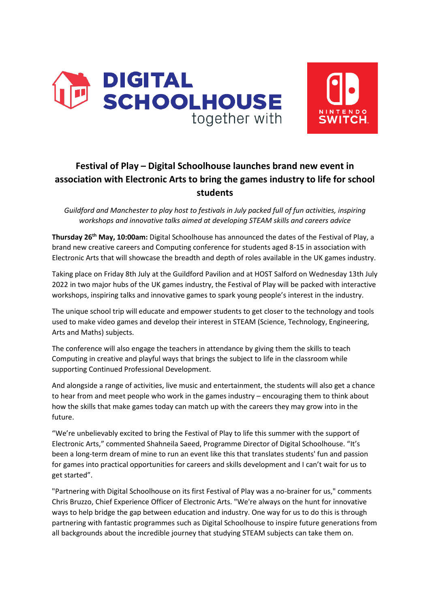



# **Festival of Play – Digital Schoolhouse launches brand new event in association with Electronic Arts to bring the games industry to life for school students**

*Guildford and Manchester to play host to festivals in July packed full of fun activities, inspiring workshops and innovative talks aimed at developing STEAM skills and careers advice*

**Thursday 26th May, 10:00am:** Digital Schoolhouse has announced the dates of the Festival of Play, a brand new creative careers and Computing conference for students aged 8-15 in association with Electronic Arts that will showcase the breadth and depth of roles available in the UK games industry.

Taking place on Friday 8th July at the Guildford Pavilion and at HOST Salford on Wednesday 13th July 2022 in two major hubs of the UK games industry, the Festival of Play will be packed with interactive workshops, inspiring talks and innovative games to spark young people's interest in the industry.

The unique school trip will educate and empower students to get closer to the technology and tools used to make video games and develop their interest in STEAM (Science, Technology, Engineering, Arts and Maths) subjects.

The conference will also engage the teachers in attendance by giving them the skills to teach Computing in creative and playful ways that brings the subject to life in the classroom while supporting Continued Professional Development.

And alongside a range of activities, live music and entertainment, the students will also get a chance to hear from and meet people who work in the games industry – encouraging them to think about how the skills that make games today can match up with the careers they may grow into in the future.

"We're unbelievably excited to bring the Festival of Play to life this summer with the support of Electronic Arts," commented Shahneila Saeed, Programme Director of Digital Schoolhouse. "It's been a long-term dream of mine to run an event like this that translates students' fun and passion for games into practical opportunities for careers and skills development and I can't wait for us to get started".

"Partnering with Digital Schoolhouse on its first Festival of Play was a no-brainer for us," comments Chris Bruzzo, Chief Experience Officer of Electronic Arts. "We're always on the hunt for innovative ways to help bridge the gap between education and industry. One way for us to do this is through partnering with fantastic programmes such as Digital Schoolhouse to inspire future generations from all backgrounds about the incredible journey that studying STEAM subjects can take them on.